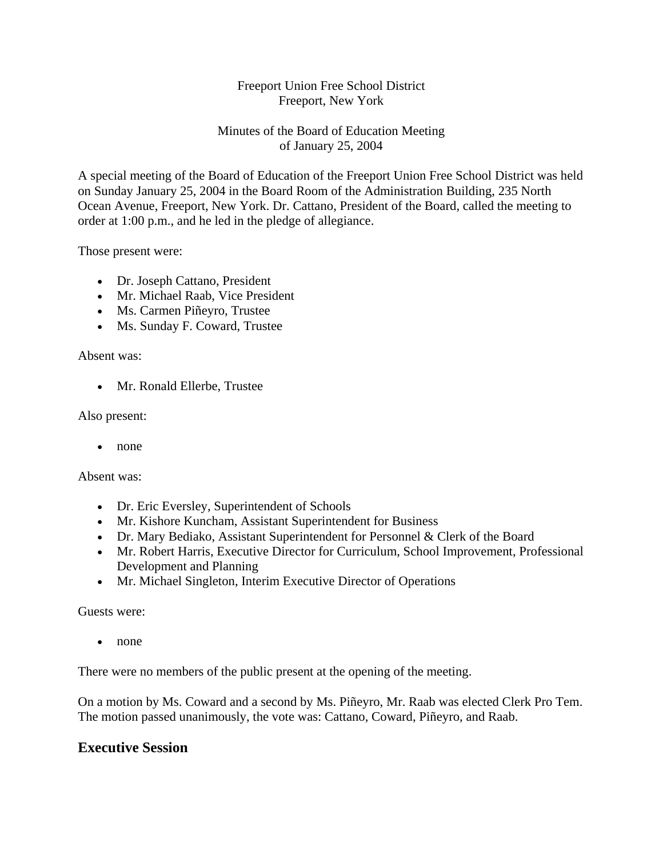## Freeport Union Free School District Freeport, New York

## Minutes of the Board of Education Meeting of January 25, 2004

A special meeting of the Board of Education of the Freeport Union Free School District was held on Sunday January 25, 2004 in the Board Room of the Administration Building, 235 North Ocean Avenue, Freeport, New York. Dr. Cattano, President of the Board, called the meeting to order at 1:00 p.m., and he led in the pledge of allegiance.

Those present were:

- Dr. Joseph Cattano, President
- Mr. Michael Raab, Vice President
- Ms. Carmen Piñeyro, Trustee
- Ms. Sunday F. Coward, Trustee

Absent was:

• Mr. Ronald Ellerbe, Trustee

Also present:

• none

Absent was:

- Dr. Eric Eversley, Superintendent of Schools
- Mr. Kishore Kuncham, Assistant Superintendent for Business
- Dr. Mary Bediako, Assistant Superintendent for Personnel & Clerk of the Board
- Mr. Robert Harris, Executive Director for Curriculum, School Improvement, Professional Development and Planning
- Mr. Michael Singleton, Interim Executive Director of Operations

Guests were:

• none

There were no members of the public present at the opening of the meeting.

On a motion by Ms. Coward and a second by Ms. Piñeyro, Mr. Raab was elected Clerk Pro Tem. The motion passed unanimously, the vote was: Cattano, Coward, Piñeyro, and Raab.

## **Executive Session**